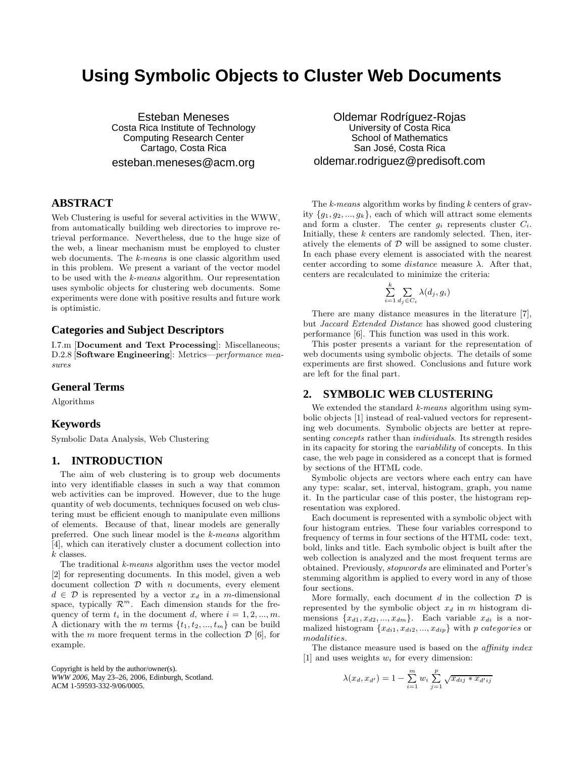# **Using Symbolic Objects to Cluster Web Documents**

Esteban Meneses Costa Rica Institute of Technology Computing Research Center Cartago, Costa Rica esteban.meneses@acm.org

# **ABSTRACT**

Web Clustering is useful for several activities in the WWW, from automatically building web directories to improve retrieval performance. Nevertheless, due to the huge size of the web, a linear mechanism must be employed to cluster web documents. The k-means is one classic algorithm used in this problem. We present a variant of the vector model to be used with the k-means algorithm. Our representation uses symbolic objects for clustering web documents. Some experiments were done with positive results and future work is optimistic.

# **Categories and Subject Descriptors**

I.7.m [Document and Text Processing]: Miscellaneous; D.2.8 [Software Engineering]: Metrics—performance measures

## **General Terms**

Algorithms

## **Keywords**

Symbolic Data Analysis, Web Clustering

#### **1. INTRODUCTION**

The aim of web clustering is to group web documents into very identifiable classes in such a way that common web activities can be improved. However, due to the huge quantity of web documents, techniques focused on web clustering must be efficient enough to manipulate even millions of elements. Because of that, linear models are generally preferred. One such linear model is the k-means algorithm [4], which can iteratively cluster a document collection into k classes.

The traditional k-means algorithm uses the vector model [2] for representing documents. In this model, given a web document collection  $D$  with  $n$  documents, every element  $d \in \mathcal{D}$  is represented by a vector  $x_d$  in a m-dimensional space, typically  $\mathcal{R}^m$ . Each dimension stands for the frequency of term  $t_i$  in the document d, where  $i = 1, 2, ..., m$ . A dictionary with the m terms  $\{t_1, t_2, ..., t_m\}$  can be build with the m more frequent terms in the collection  $\mathcal{D}$  [6], for example.

Copyright is held by the author/owner(s). *WWW 2006,* May 23–26, 2006, Edinburgh, Scotland. ACM 1-59593-332-9/06/0005.

Oldemar Rodríguez-Rojas University of Costa Rica School of Mathematics San José, Costa Rica oldemar.rodriguez@predisoft.com

The  $k$ -means algorithm works by finding  $k$  centers of gravity  $\{g_1, g_2, ..., g_k\}$ , each of which will attract some elements and form a cluster. The center  $g_i$  represents cluster  $C_i$ . Initially, these  $k$  centers are randomly selected. Then, iteratively the elements of  $D$  will be assigned to some cluster. In each phase every element is associated with the nearest center according to some *distance* measure  $\lambda$ . After that, centers are recalculated to minimize the criteria:

$$
\sum_{i=1}^k \sum_{d_j \in C_i} \lambda(d_j, g_i)
$$

There are many distance measures in the literature [7], but Jaccard Extended Distance has showed good clustering performance [6]. This function was used in this work.

This poster presents a variant for the representation of web documents using symbolic objects. The details of some experiments are first showed. Conclusions and future work are left for the final part.

# **2. SYMBOLIC WEB CLUSTERING**

We extended the standard k-means algorithm using symbolic objects [1] instead of real-valued vectors for representing web documents. Symbolic objects are better at representing concepts rather than individuals. Its strength resides in its capacity for storing the variablility of concepts. In this case, the web page in considered as a concept that is formed by sections of the HTML code.

Symbolic objects are vectors where each entry can have any type: scalar, set, interval, histogram, graph, you name it. In the particular case of this poster, the histogram representation was explored.

Each document is represented with a symbolic object with four histogram entries. These four variables correspond to frequency of terms in four sections of the HTML code: text, bold, links and title. Each symbolic object is built after the web collection is analyzed and the most frequent terms are obtained. Previously, stopwords are eliminated and Porter's stemming algorithm is applied to every word in any of those four sections.

More formally, each document  $d$  in the collection  $\mathcal D$  is represented by the symbolic object  $x_d$  in m histogram dimensions  $\{x_{d1}, x_{d2}, ..., x_{dm}\}.$  Each variable  $x_{di}$  is a normalized histogram  ${x_{di1}, x_{di2}, ..., x_{dip}}$  with p categories or modalities.

The distance measure used is based on the *affinity index* [1] and uses weights  $w_i$  for every dimension:

$$
\lambda(x_d, x_{d'}) = 1 - \sum_{i=1}^{m} w_i \sum_{j=1}^{p} \sqrt{x_{dij} \cdot x_{d'ij}}
$$